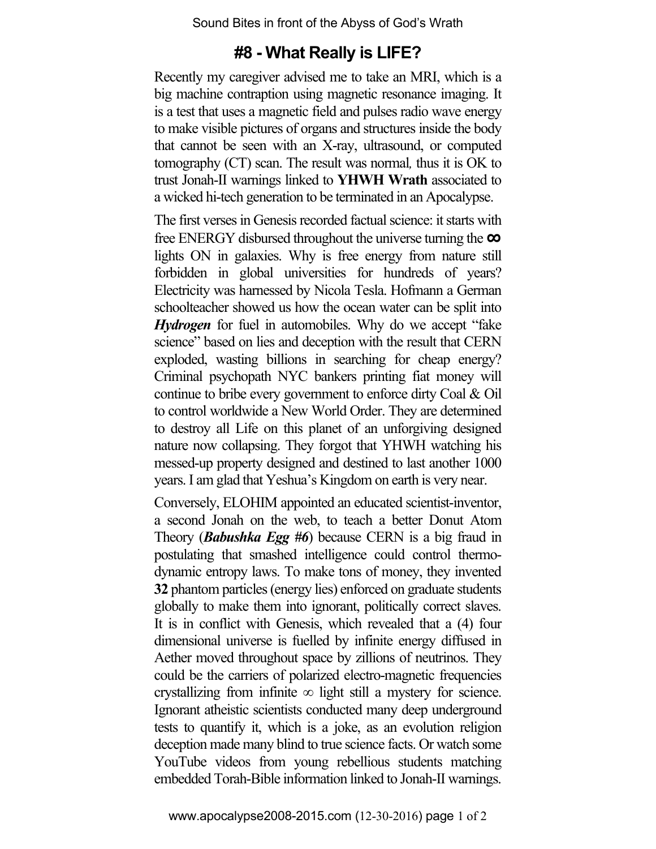Sound Bites in front of the Abyss of God's Wrath

# **#8 - What Really is LIFE?**

Recently my caregiver advised me to take an MRI, which is a big machine contraption using magnetic resonance imaging. It is a test that uses a magnetic field and pulses radio wave energy to make visible pictures of organs and structures inside the body that cannot be seen with an X-ray, ultrasound, or computed tomography (CT) scan. The result was normal*,* thus it is OK to trust Jonah-II warnings linked to **YHWH Wrath** associated to a wicked hi-tech generation to be terminated in an Apocalypse.

The first verses in Genesis recorded factual science: it starts with free ENERGY disbursed throughout the universe turning the **∞** lights ON in galaxies. Why is free energy from nature still forbidden in global universities for hundreds of years? Electricity was harnessed by Nicola Tesla. Hofmann a German schoolteacher showed us how the ocean water can be split into *Hydrogen* for fuel in automobiles. Why do we accept "fake science" based on lies and deception with the result that CERN exploded, wasting billions in searching for cheap energy? Criminal psychopath NYC bankers printing fiat money will continue to bribe every government to enforce dirty Coal & Oil to control worldwide a New World Order. They are determined to destroy all Life on this planet of an unforgiving designed nature now collapsing. They forgot that YHWH watching his messed-up property designed and destined to last another 1000 years. I am glad that Yeshua's Kingdom on earth is very near.

Conversely, ELOHIM appointed an educated scientist-inventor, a second Jonah on the web, to teach a better Donut Atom Theory (*Babushka Egg #6*) because CERN is a big fraud in postulating that smashed intelligence could control thermodynamic entropy laws. To make tons of money, they invented **32** phantom particles (energy lies) enforced on graduate students globally to make them into ignorant, politically correct slaves. It is in conflict with Genesis, which revealed that a (4) four dimensional universe is fuelled by infinite energy diffused in Aether moved throughout space by zillions of neutrinos. They could be the carriers of polarized electro-magnetic frequencies crystallizing from infinite  $\infty$  light still a mystery for science. Ignorant atheistic scientists conducted many deep underground tests to quantify it, which is a joke, as an evolution religion deception made many blind to true science facts. Or watch some YouTube videos from young rebellious students matching embedded Torah-Bible information linked to Jonah-II warnings.